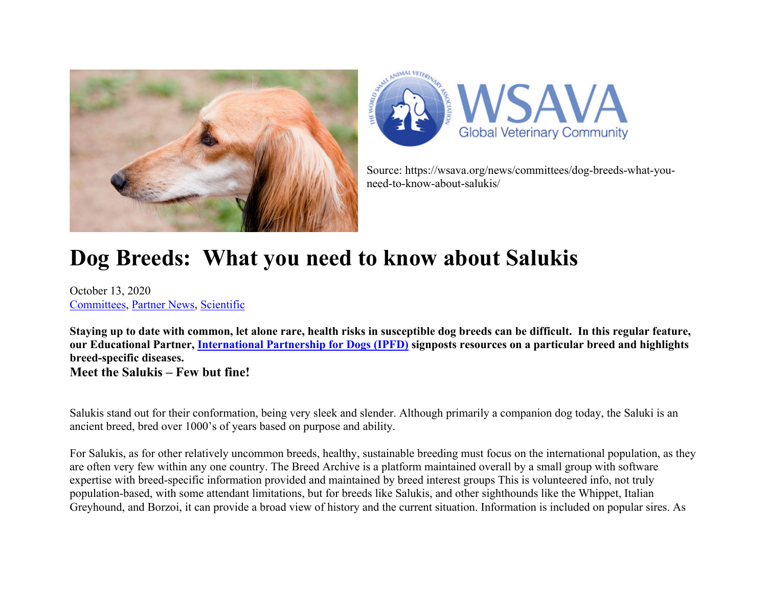



Source: https://wsava.org/news/committees/dog-breeds-what-youneed-to-know-about-salukis/

## **Dog Breeds: What you need to know about Salukis**

October 13, 2020 Committees, Partner News, Scientific

**Staying up to date with common, let alone rare, health risks in susceptible dog breeds can be difficult. In this regular feature, our Educational Partner, International Partnership for Dogs (IPFD) signposts resources on a particular breed and highlights breed-specific diseases. Meet the Salukis – Few but fine!** 

Salukis stand out for their conformation, being very sleek and slender. Although primarily a companion dog today, the Saluki is an ancient breed, bred over 1000's of years based on purpose and ability.

For Salukis, as for other relatively uncommon breeds, healthy, sustainable breeding must focus on the international population, as they are often very few within any one country. The Breed Archive is a platform maintained overall by a small group with software expertise with breed-specific information provided and maintained by breed interest groups This is volunteered info, not truly population-based, with some attendant limitations, but for breeds like Salukis, and other sighthounds like the Whippet, Italian Greyhound, and Borzoi, it can provide a broad view of history and the current situation. Information is included on popular sires. As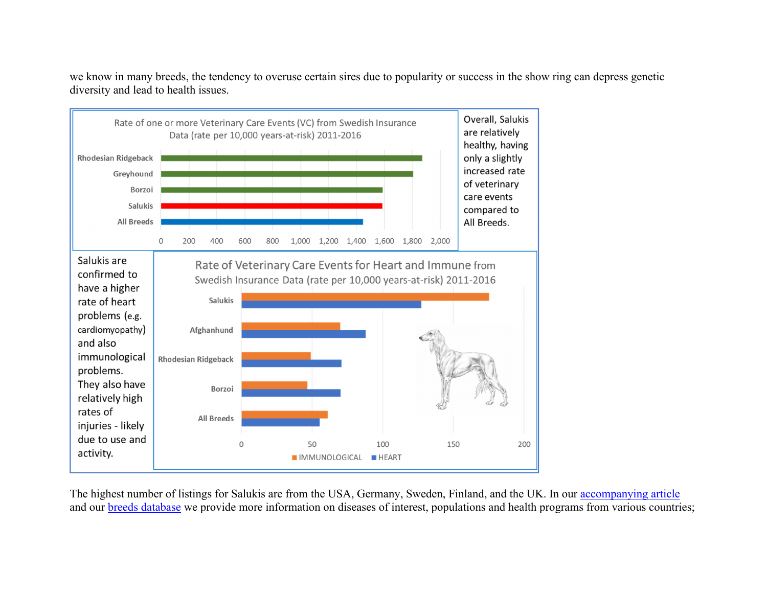we know in many breeds, the tendency to overuse certain sires due to popularity or success in the show ring can depress genetic diversity and lead to health issues.



The highest number of listings for Salukis are from the USA, Germany, Sweden, Finland, and the UK. In our accompanying article and our breeds database we provide more information on diseases of interest, populations and health programs from various countries;